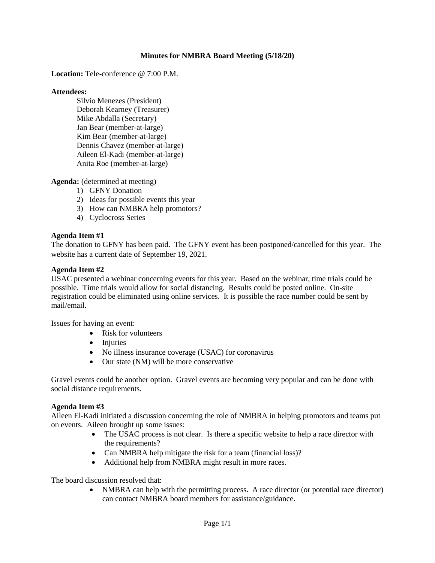## **Minutes for NMBRA Board Meeting (5/18/20)**

**Location:** Tele-conference @ 7:00 P.M.

#### **Attendees:**

Silvio Menezes (President) Deborah Kearney (Treasurer) Mike Abdalla (Secretary) Jan Bear (member-at-large) Kim Bear (member-at-large) Dennis Chavez (member-at-large) Aileen El-Kadi (member-at-large) Anita Roe (member-at-large)

**Agenda:** (determined at meeting)

- 1) GFNY Donation
- 2) Ideas for possible events this year
- 3) How can NMBRA help promotors?
- 4) Cyclocross Series

## **Agenda Item #1**

The donation to GFNY has been paid. The GFNY event has been postponed/cancelled for this year. The website has a current date of September 19, 2021.

#### **Agenda Item #2**

USAC presented a webinar concerning events for this year. Based on the webinar, time trials could be possible. Time trials would allow for social distancing. Results could be posted online. On-site registration could be eliminated using online services. It is possible the race number could be sent by mail/email.

Issues for having an event:

- Risk for volunteers
- Injuries
- No illness insurance coverage (USAC) for coronavirus
- Our state (NM) will be more conservative

Gravel events could be another option. Gravel events are becoming very popular and can be done with social distance requirements.

## **Agenda Item #3**

Aileen El-Kadi initiated a discussion concerning the role of NMBRA in helping promotors and teams put on events. Aileen brought up some issues:

- The USAC process is not clear. Is there a specific website to help a race director with the requirements?
- Can NMBRA help mitigate the risk for a team (financial loss)?
- Additional help from NMBRA might result in more races.

The board discussion resolved that:

• NMBRA can help with the permitting process. A race director (or potential race director) can contact NMBRA board members for assistance/guidance.